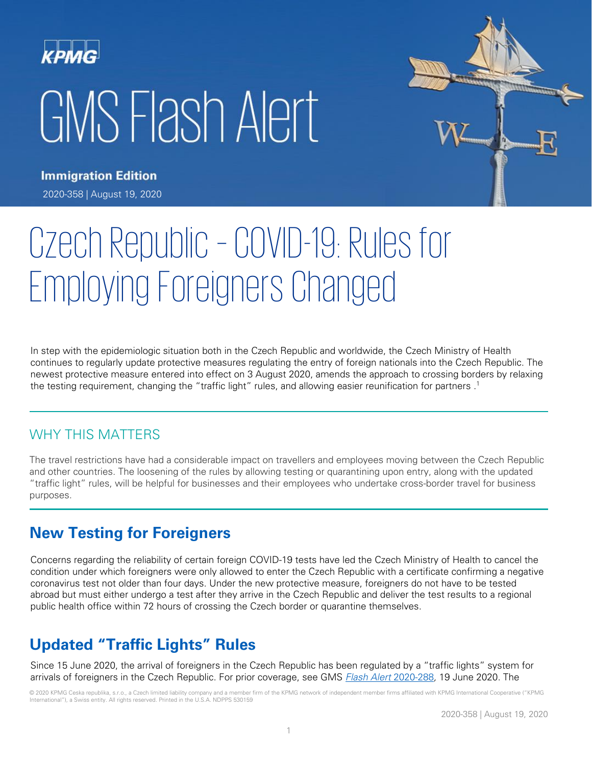# GMS Flash Alert



**Immigration Edition** 2020-358 | August 19, 2020

# Czech Republic – COVID-19: Rules for Employing Foreigners Changed

In step with the epidemiologic situation both in the Czech Republic and worldwide, the Czech Ministry of Health continues to regularly update protective measures regulating the entry of foreign nationals into the Czech Republic. The newest protective measure entered into effect on 3 August 2020, amends the approach to crossing borders by relaxing the testing requirement, changing the "traffic light" rules, and allowing easier reunification for partners . 1

### WHY THIS MATTERS

The travel restrictions have had a considerable impact on travellers and employees moving between the Czech Republic and other countries. The loosening of the rules by allowing testing or quarantining upon entry, along with the updated "traffic light" rules, will be helpful for businesses and their employees who undertake cross-border travel for business purposes.

# **New Testing for Foreigners**

Concerns regarding the reliability of certain foreign COVID-19 tests have led the Czech Ministry of Health to cancel the condition under which foreigners were only allowed to enter the Czech Republic with a certificate confirming a negative coronavirus test not older than four days. Under the new protective measure, foreigners do not have to be tested abroad but must either undergo a test after they arrive in the Czech Republic and deliver the test results to a regional public health office within 72 hours of crossing the Czech border or quarantine themselves.

# **Updated "Traffic Lights" Rules**

Since 15 June 2020, the arrival of foreigners in the Czech Republic has been regulated by a "traffic lights" system for arrivals of foreigners in the Czech Republic. For prior coverage, see GMS [Flash Alert](https://home.kpmg/xx/en/home/insights/2020/06/flash-alert-2020-288.html) 2020-288, 19 June 2020. The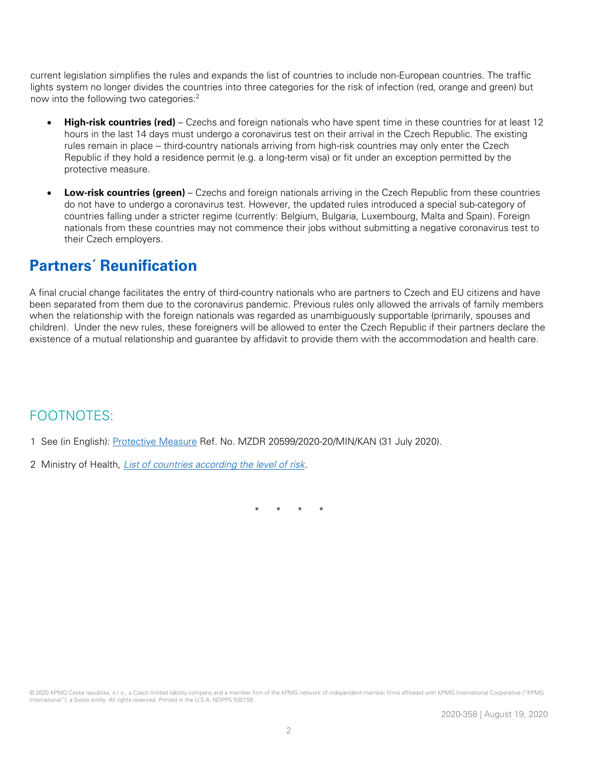current legislation simplifies the rules and expands the list of countries to include non-European countries. The traffic lights system no longer divides the countries into three categories for the risk of infection (red, orange and green) but now into the following two categories: 2

- **High-risk countries (red)** Czechs and foreign nationals who have spent time in these countries for at least 12 hours in the last 14 days must undergo a coronavirus test on their arrival in the Czech Republic. The existing rules remain in place -- third-country nationals arriving from high-risk countries may only enter the Czech Republic if they hold a residence permit (e.g. a long-term visa) or fit under an exception permitted by the protective measure.
- **Low-risk countries (green)** Czechs and foreign nationals arriving in the Czech Republic from these countries do not have to undergo a coronavirus test. However, the updated rules introduced a special sub-category of countries falling under a stricter regime (currently: Belgium, Bulgaria, Luxembourg, Malta and Spain). Foreign nationals from these countries may not commence their jobs without submitting a negative coronavirus test to their Czech employers.

## **Partners´ Reunification**

A final crucial change facilitates the entry of third-country nationals who are partners to Czech and EU citizens and have been separated from them due to the coronavirus pandemic. Previous rules only allowed the arrivals of family members when the relationship with the foreign nationals was regarded as unambiguously supportable (primarily, spouses and children). Under the new rules, these foreigners will be allowed to enter the Czech Republic if their partners declare the existence of a mutual relationship and guarantee by affidavit to provide them with the accommodation and health care.

#### FOOTNOTES:

- 1 See (in English): [Protective Measure](https://koronavirus.mzcr.cz/wp-content/uploads/2020/08/180_PM_state-borders-from-3-August_31072020.pdf) Ref. No. MZDR 20599/2020-20/MIN/KAN (31 July 2020).
- 2 Ministry of Health, [List of countries according the level of risk.](https://koronavirus.mzcr.cz/en/list-of-countries-according-to-the-level-of-risk/)

\* \* \* \*

© 2020 KPMG Ceska republika, s.r.o., a Czech limited liability company and a member firm of the KPMG network of independent member firms affiliated with KPMG International Cooperative ("KPMG International"), a Swiss entity. All rights reserved. Printed in the U.S.A. NDPPS 530159